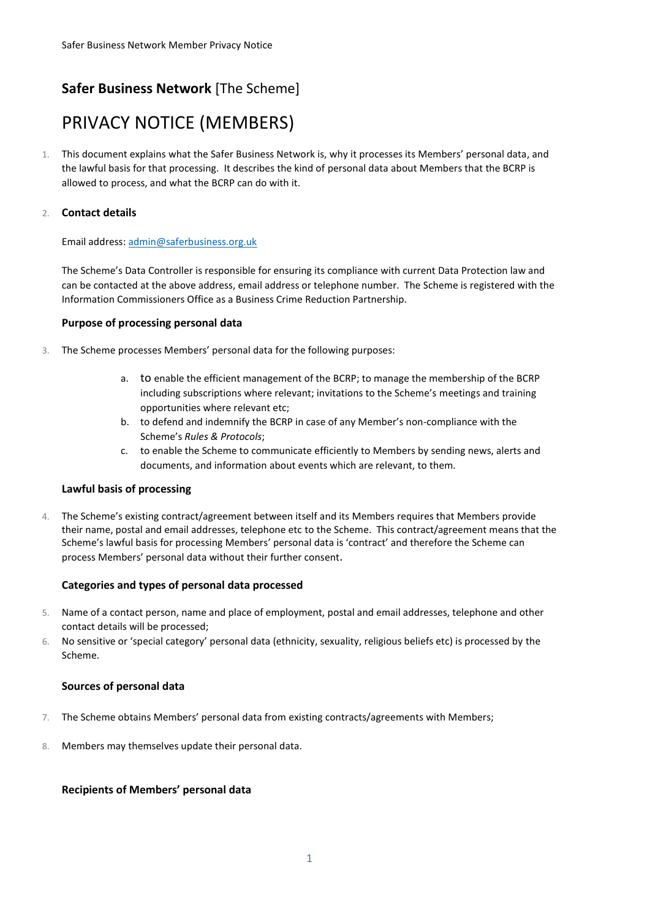## **Safer Business Network** [The Scheme]

# PRIVACY NOTICE (MEMBERS)

1. This document explains what the Safer Business Network is, why it processes its Members' personal data, and the lawful basis for that processing. It describes the kind of personal data about Members that the BCRP is allowed to process, and what the BCRP can do with it.

### 2. **Contact details**

#### Email address[: admin@saferbusiness.org.uk](mailto:admin@saferbusiness.org.uk)

The Scheme's Data Controller is responsible for ensuring its compliance with current Data Protection law and can be contacted at the above address, email address or telephone number. The Scheme is registered with the Information Commissioners Office as a Business Crime Reduction Partnership.

#### **Purpose of processing personal data**

- 3. The Scheme processes Members' personal data for the following purposes:
	- a. to enable the efficient management of the BCRP; to manage the membership of the BCRP including subscriptions where relevant; invitations to the Scheme's meetings and training opportunities where relevant etc;
	- b. to defend and indemnify the BCRP in case of any Member's non-compliance with the Scheme's *Rules & Protocols*;
	- c. to enable the Scheme to communicate efficiently to Members by sending news, alerts and documents, and information about events which are relevant, to them.

#### **Lawful basis of processing**

4. The Scheme's existing contract/agreement between itself and its Members requires that Members provide their name, postal and email addresses, telephone etc to the Scheme. This contract/agreement means that the Scheme's lawful basis for processing Members' personal data is 'contract' and therefore the Scheme can process Members' personal data without their further consent.

#### **Categories and types of personal data processed**

- 5. Name of a contact person, name and place of employment, postal and email addresses, telephone and other contact details will be processed;
- 6. No sensitive or 'special category' personal data (ethnicity, sexuality, religious beliefs etc) is processed by the Scheme.

#### **Sources of personal data**

- 7. The Scheme obtains Members' personal data from existing contracts/agreements with Members;
- 8. Members may themselves update their personal data.

#### **Recipients of Members' personal data**